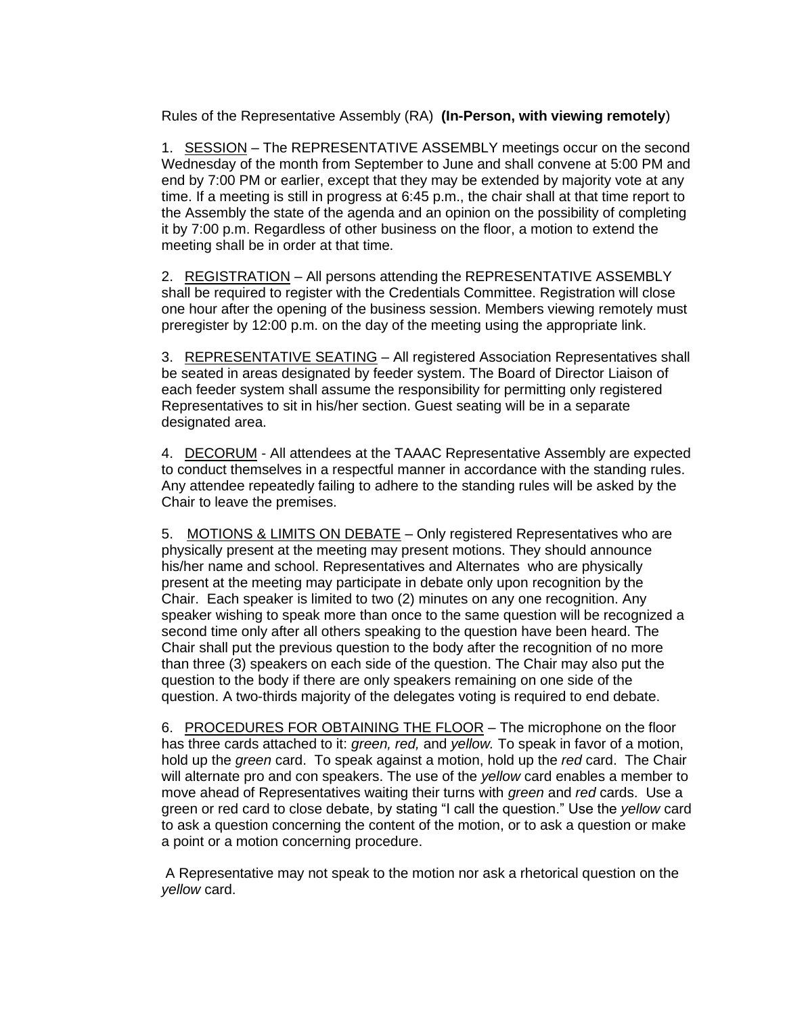Rules of the Representative Assembly (RA) **(In-Person, with viewing remotely**)

1. SESSION – The REPRESENTATIVE ASSEMBLY meetings occur on the second Wednesday of the month from September to June and shall convene at 5:00 PM and end by 7:00 PM or earlier, except that they may be extended by majority vote at any time. If a meeting is still in progress at 6:45 p.m., the chair shall at that time report to the Assembly the state of the agenda and an opinion on the possibility of completing it by 7:00 p.m. Regardless of other business on the floor, a motion to extend the meeting shall be in order at that time.

2. REGISTRATION – All persons attending the REPRESENTATIVE ASSEMBLY shall be required to register with the Credentials Committee. Registration will close one hour after the opening of the business session. Members viewing remotely must preregister by 12:00 p.m. on the day of the meeting using the appropriate link.

3. REPRESENTATIVE SEATING - All registered Association Representatives shall be seated in areas designated by feeder system. The Board of Director Liaison of each feeder system shall assume the responsibility for permitting only registered Representatives to sit in his/her section. Guest seating will be in a separate designated area.

4. DECORUM - All attendees at the TAAAC Representative Assembly are expected to conduct themselves in a respectful manner in accordance with the standing rules. Any attendee repeatedly failing to adhere to the standing rules will be asked by the Chair to leave the premises.

5. MOTIONS & LIMITS ON DEBATE – Only registered Representatives who are physically present at the meeting may present motions. They should announce his/her name and school. Representatives and Alternates who are physically present at the meeting may participate in debate only upon recognition by the Chair. Each speaker is limited to two (2) minutes on any one recognition. Any speaker wishing to speak more than once to the same question will be recognized a second time only after all others speaking to the question have been heard. The Chair shall put the previous question to the body after the recognition of no more than three (3) speakers on each side of the question. The Chair may also put the question to the body if there are only speakers remaining on one side of the question. A two-thirds majority of the delegates voting is required to end debate.

6. PROCEDURES FOR OBTAINING THE FLOOR – The microphone on the floor has three cards attached to it: *green, red,* and *yellow.* To speak in favor of a motion, hold up the *green* card. To speak against a motion, hold up the *red* card. The Chair will alternate pro and con speakers. The use of the *yellow* card enables a member to move ahead of Representatives waiting their turns with *green* and *red* cards. Use a green or red card to close debate, by stating "I call the question." Use the *yellow* card to ask a question concerning the content of the motion, or to ask a question or make a point or a motion concerning procedure.

A Representative may not speak to the motion nor ask a rhetorical question on the *yellow* card.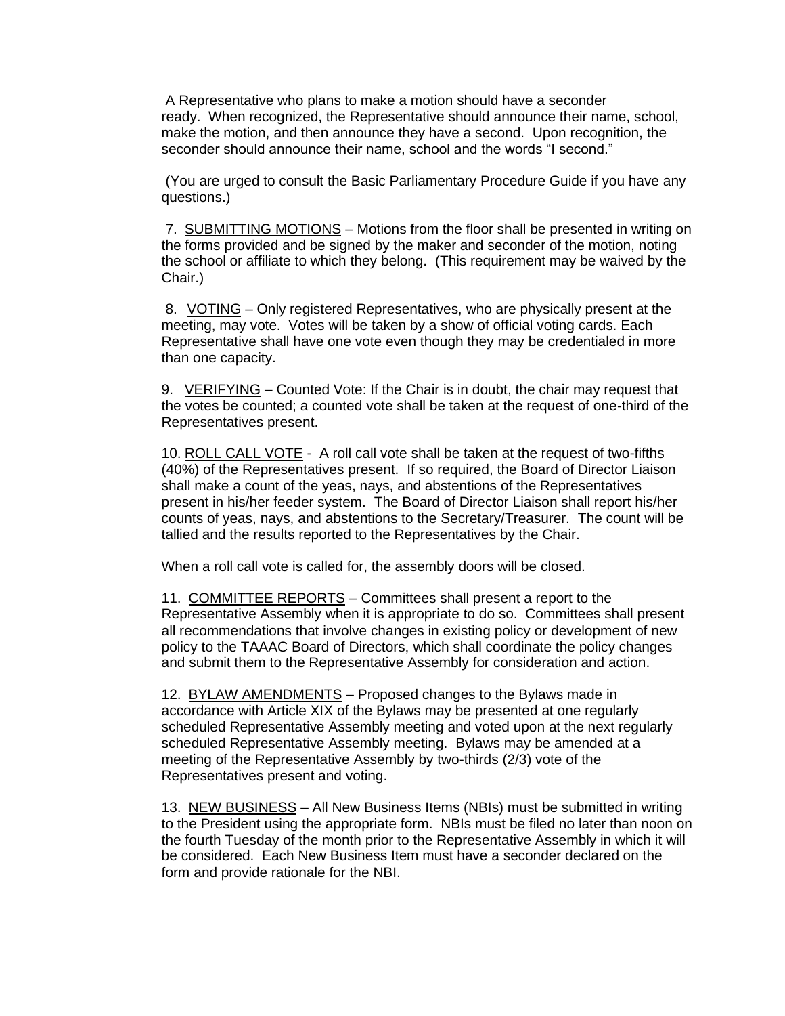A Representative who plans to make a motion should have a seconder ready. When recognized, the Representative should announce their name, school, make the motion, and then announce they have a second. Upon recognition, the seconder should announce their name, school and the words "I second."

(You are urged to consult the Basic Parliamentary Procedure Guide if you have any questions.)

7. SUBMITTING MOTIONS – Motions from the floor shall be presented in writing on the forms provided and be signed by the maker and seconder of the motion, noting the school or affiliate to which they belong. (This requirement may be waived by the Chair.)

8. VOTING – Only registered Representatives, who are physically present at the meeting, may vote. Votes will be taken by a show of official voting cards. Each Representative shall have one vote even though they may be credentialed in more than one capacity.

9. VERIFYING – Counted Vote: If the Chair is in doubt, the chair may request that the votes be counted; a counted vote shall be taken at the request of one-third of the Representatives present.

10. ROLL CALL VOTE - A roll call vote shall be taken at the request of two-fifths (40%) of the Representatives present. If so required, the Board of Director Liaison shall make a count of the yeas, nays, and abstentions of the Representatives present in his/her feeder system. The Board of Director Liaison shall report his/her counts of yeas, nays, and abstentions to the Secretary/Treasurer. The count will be tallied and the results reported to the Representatives by the Chair.

When a roll call vote is called for, the assembly doors will be closed.

11. COMMITTEE REPORTS – Committees shall present a report to the Representative Assembly when it is appropriate to do so. Committees shall present all recommendations that involve changes in existing policy or development of new policy to the TAAAC Board of Directors, which shall coordinate the policy changes and submit them to the Representative Assembly for consideration and action.

12. BYLAW AMENDMENTS – Proposed changes to the Bylaws made in accordance with Article XIX of the Bylaws may be presented at one regularly scheduled Representative Assembly meeting and voted upon at the next regularly scheduled Representative Assembly meeting. Bylaws may be amended at a meeting of the Representative Assembly by two-thirds (2/3) vote of the Representatives present and voting.

13. NEW BUSINESS – All New Business Items (NBIs) must be submitted in writing to the President using the appropriate form. NBIs must be filed no later than noon on the fourth Tuesday of the month prior to the Representative Assembly in which it will be considered. Each New Business Item must have a seconder declared on the form and provide rationale for the NBI.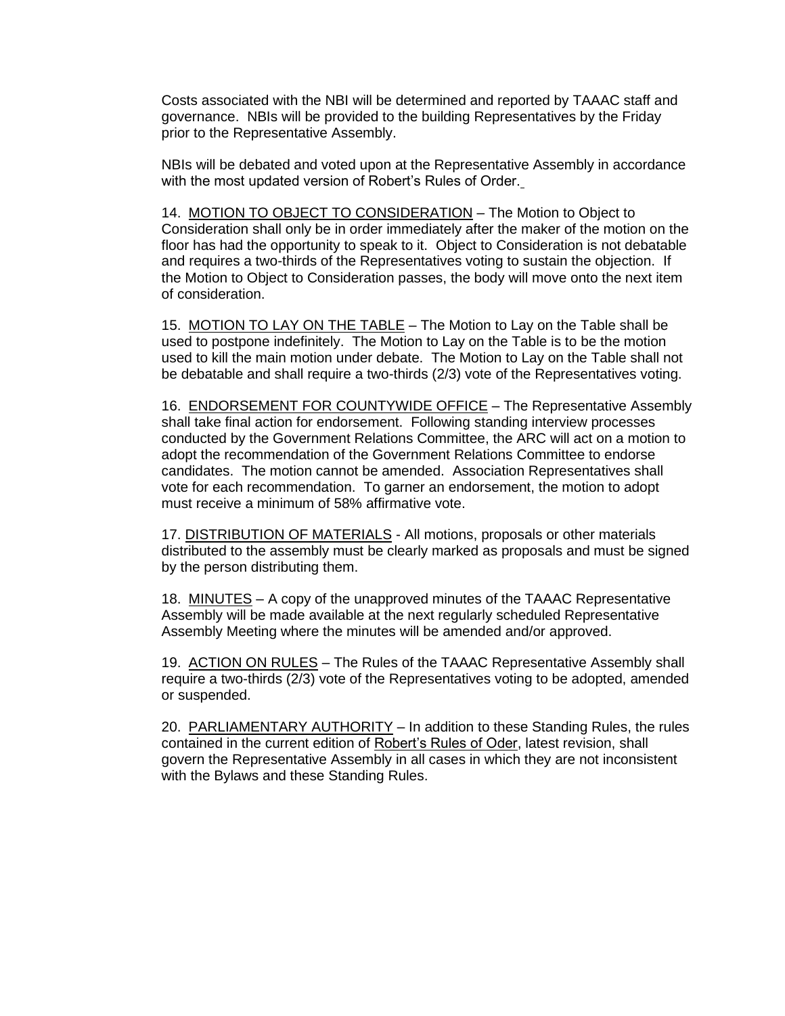Costs associated with the NBI will be determined and reported by TAAAC staff and governance. NBIs will be provided to the building Representatives by the Friday prior to the Representative Assembly.

NBIs will be debated and voted upon at the Representative Assembly in accordance with the most updated version of Robert's Rules of Order.

14. MOTION TO OBJECT TO CONSIDERATION – The Motion to Object to Consideration shall only be in order immediately after the maker of the motion on the floor has had the opportunity to speak to it. Object to Consideration is not debatable and requires a two-thirds of the Representatives voting to sustain the objection. If the Motion to Object to Consideration passes, the body will move onto the next item of consideration.

15. MOTION TO LAY ON THE TABLE - The Motion to Lay on the Table shall be used to postpone indefinitely. The Motion to Lay on the Table is to be the motion used to kill the main motion under debate. The Motion to Lay on the Table shall not be debatable and shall require a two-thirds (2/3) vote of the Representatives voting.

16. ENDORSEMENT FOR COUNTYWIDE OFFICE – The Representative Assembly shall take final action for endorsement. Following standing interview processes conducted by the Government Relations Committee, the ARC will act on a motion to adopt the recommendation of the Government Relations Committee to endorse candidates. The motion cannot be amended. Association Representatives shall vote for each recommendation. To garner an endorsement, the motion to adopt must receive a minimum of 58% affirmative vote.

17. DISTRIBUTION OF MATERIALS - All motions, proposals or other materials distributed to the assembly must be clearly marked as proposals and must be signed by the person distributing them.

18. MINUTES – A copy of the unapproved minutes of the TAAAC Representative Assembly will be made available at the next regularly scheduled Representative Assembly Meeting where the minutes will be amended and/or approved.

19. ACTION ON RULES - The Rules of the TAAAC Representative Assembly shall require a two-thirds (2/3) vote of the Representatives voting to be adopted, amended or suspended.

20. PARLIAMENTARY AUTHORITY – In addition to these Standing Rules, the rules contained in the current edition of Robert's Rules of Oder, latest revision, shall govern the Representative Assembly in all cases in which they are not inconsistent with the Bylaws and these Standing Rules.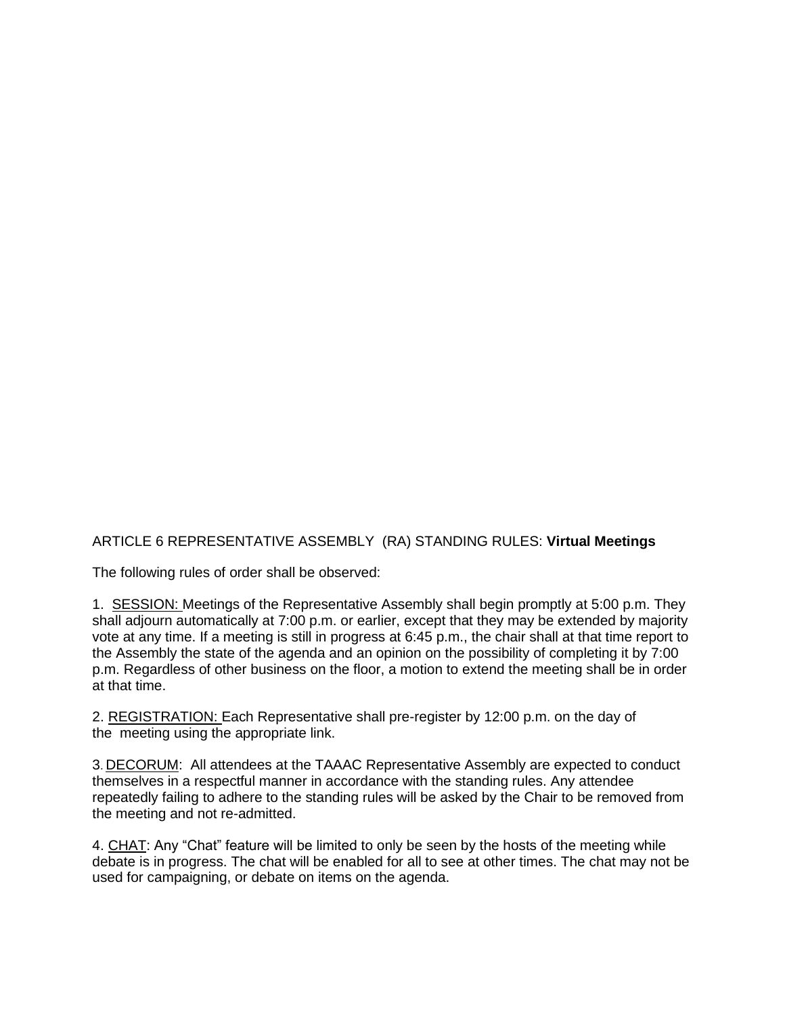ARTICLE 6 REPRESENTATIVE ASSEMBLY (RA) STANDING RULES: **Virtual Meetings**

The following rules of order shall be observed:

1. SESSION: Meetings of the Representative Assembly shall begin promptly at 5:00 p.m. They shall adjourn automatically at 7:00 p.m. or earlier, except that they may be extended by majority vote at any time. If a meeting is still in progress at 6:45 p.m., the chair shall at that time report to the Assembly the state of the agenda and an opinion on the possibility of completing it by 7:00 p.m. Regardless of other business on the floor, a motion to extend the meeting shall be in order at that time.

2. REGISTRATION: Each Representative shall pre-register by 12:00 p.m. on the day of the meeting using the appropriate link.

3. DECORUM: All attendees at the TAAAC Representative Assembly are expected to conduct themselves in a respectful manner in accordance with the standing rules. Any attendee repeatedly failing to adhere to the standing rules will be asked by the Chair to be removed from the meeting and not re-admitted.

4. CHAT: Any "Chat" feature will be limited to only be seen by the hosts of the meeting while debate is in progress. The chat will be enabled for all to see at other times. The chat may not be used for campaigning, or debate on items on the agenda.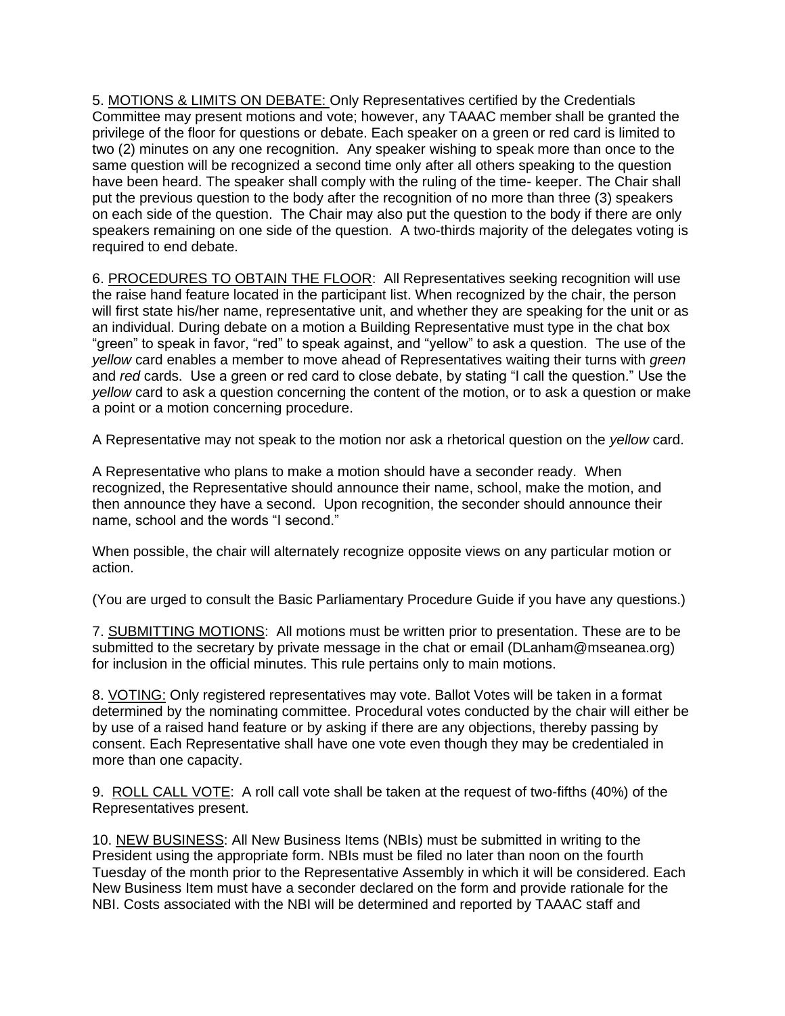5. MOTIONS & LIMITS ON DEBATE: Only Representatives certified by the Credentials Committee may present motions and vote; however, any TAAAC member shall be granted the privilege of the floor for questions or debate. Each speaker on a green or red card is limited to two (2) minutes on any one recognition. Any speaker wishing to speak more than once to the same question will be recognized a second time only after all others speaking to the question have been heard. The speaker shall comply with the ruling of the time- keeper. The Chair shall put the previous question to the body after the recognition of no more than three (3) speakers on each side of the question. The Chair may also put the question to the body if there are only speakers remaining on one side of the question. A two-thirds majority of the delegates voting is required to end debate.

6. PROCEDURES TO OBTAIN THE FLOOR: All Representatives seeking recognition will use the raise hand feature located in the participant list. When recognized by the chair, the person will first state his/her name, representative unit, and whether they are speaking for the unit or as an individual. During debate on a motion a Building Representative must type in the chat box "green" to speak in favor, "red" to speak against, and "yellow" to ask a question. The use of the *yellow* card enables a member to move ahead of Representatives waiting their turns with *green* and *red* cards. Use a green or red card to close debate, by stating "I call the question." Use the *yellow* card to ask a question concerning the content of the motion, or to ask a question or make a point or a motion concerning procedure.

A Representative may not speak to the motion nor ask a rhetorical question on the *yellow* card.

A Representative who plans to make a motion should have a seconder ready. When recognized, the Representative should announce their name, school, make the motion, and then announce they have a second. Upon recognition, the seconder should announce their name, school and the words "I second."

When possible, the chair will alternately recognize opposite views on any particular motion or action.

(You are urged to consult the Basic Parliamentary Procedure Guide if you have any questions.)

7. SUBMITTING MOTIONS: All motions must be written prior to presentation. These are to be submitted to the secretary by private message in the chat or email (DLanham@mseanea.org) for inclusion in the official minutes. This rule pertains only to main motions.

8. VOTING: Only registered representatives may vote. Ballot Votes will be taken in a format determined by the nominating committee. Procedural votes conducted by the chair will either be by use of a raised hand feature or by asking if there are any objections, thereby passing by consent. Each Representative shall have one vote even though they may be credentialed in more than one capacity.

9. ROLL CALL VOTE: A roll call vote shall be taken at the request of two-fifths (40%) of the Representatives present.

10. NEW BUSINESS: All New Business Items (NBIs) must be submitted in writing to the President using the appropriate form. NBIs must be filed no later than noon on the fourth Tuesday of the month prior to the Representative Assembly in which it will be considered. Each New Business Item must have a seconder declared on the form and provide rationale for the NBI. Costs associated with the NBI will be determined and reported by TAAAC staff and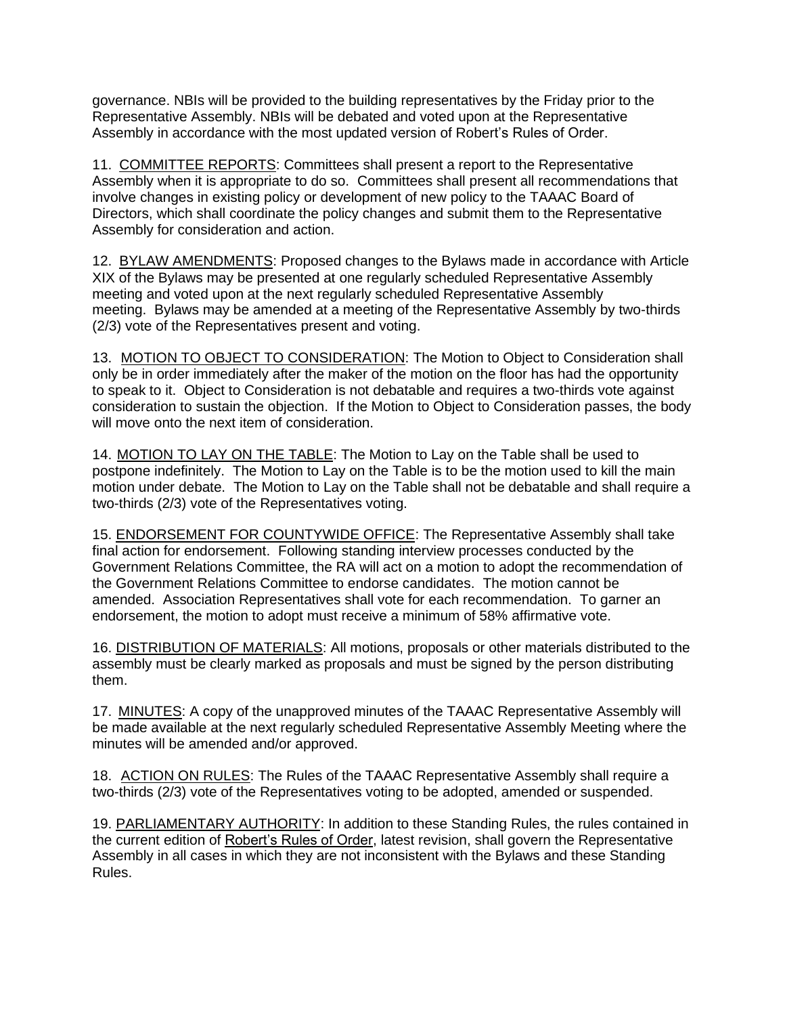governance. NBIs will be provided to the building representatives by the Friday prior to the Representative Assembly. NBIs will be debated and voted upon at the Representative Assembly in accordance with the most updated version of Robert's Rules of Order.

11. COMMITTEE REPORTS: Committees shall present a report to the Representative Assembly when it is appropriate to do so. Committees shall present all recommendations that involve changes in existing policy or development of new policy to the TAAAC Board of Directors, which shall coordinate the policy changes and submit them to the Representative Assembly for consideration and action.

12. BYLAW AMENDMENTS: Proposed changes to the Bylaws made in accordance with Article XIX of the Bylaws may be presented at one regularly scheduled Representative Assembly meeting and voted upon at the next regularly scheduled Representative Assembly meeting. Bylaws may be amended at a meeting of the Representative Assembly by two-thirds (2/3) vote of the Representatives present and voting.

13. MOTION TO OBJECT TO CONSIDERATION: The Motion to Object to Consideration shall only be in order immediately after the maker of the motion on the floor has had the opportunity to speak to it. Object to Consideration is not debatable and requires a two-thirds vote against consideration to sustain the objection. If the Motion to Object to Consideration passes, the body will move onto the next item of consideration.

14. MOTION TO LAY ON THE TABLE: The Motion to Lay on the Table shall be used to postpone indefinitely. The Motion to Lay on the Table is to be the motion used to kill the main motion under debate. The Motion to Lay on the Table shall not be debatable and shall require a two-thirds (2/3) vote of the Representatives voting.

15. ENDORSEMENT FOR COUNTYWIDE OFFICE: The Representative Assembly shall take final action for endorsement. Following standing interview processes conducted by the Government Relations Committee, the RA will act on a motion to adopt the recommendation of the Government Relations Committee to endorse candidates. The motion cannot be amended. Association Representatives shall vote for each recommendation. To garner an endorsement, the motion to adopt must receive a minimum of 58% affirmative vote.

16. DISTRIBUTION OF MATERIALS: All motions, proposals or other materials distributed to the assembly must be clearly marked as proposals and must be signed by the person distributing them.

17. MINUTES: A copy of the unapproved minutes of the TAAAC Representative Assembly will be made available at the next regularly scheduled Representative Assembly Meeting where the minutes will be amended and/or approved.

18. ACTION ON RULES: The Rules of the TAAAC Representative Assembly shall require a two-thirds (2/3) vote of the Representatives voting to be adopted, amended or suspended.

19. PARLIAMENTARY AUTHORITY: In addition to these Standing Rules, the rules contained in the current edition of Robert's Rules of Order, latest revision, shall govern the Representative Assembly in all cases in which they are not inconsistent with the Bylaws and these Standing Rules.